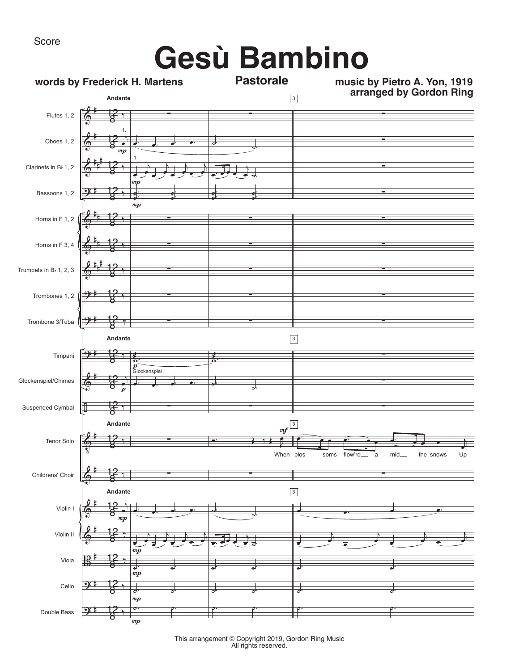Score

## Gesù Bambino

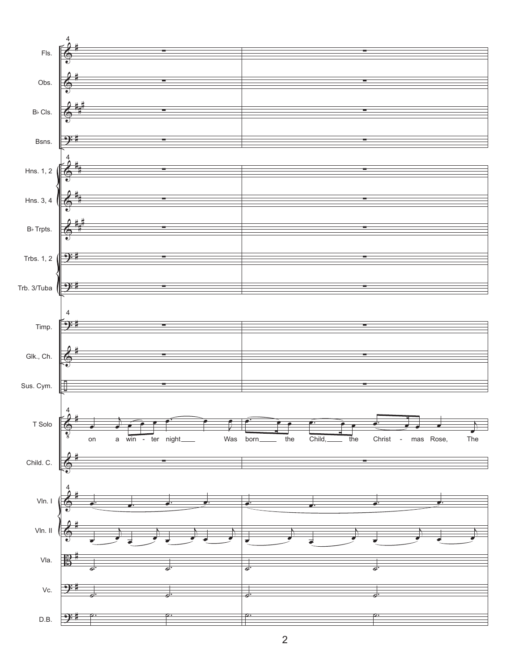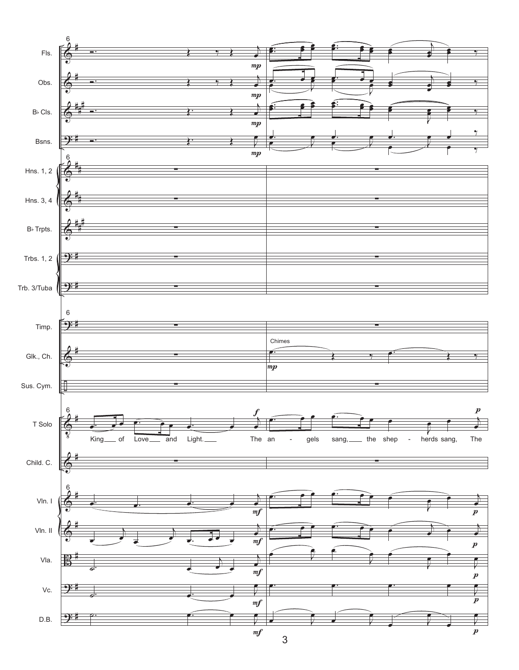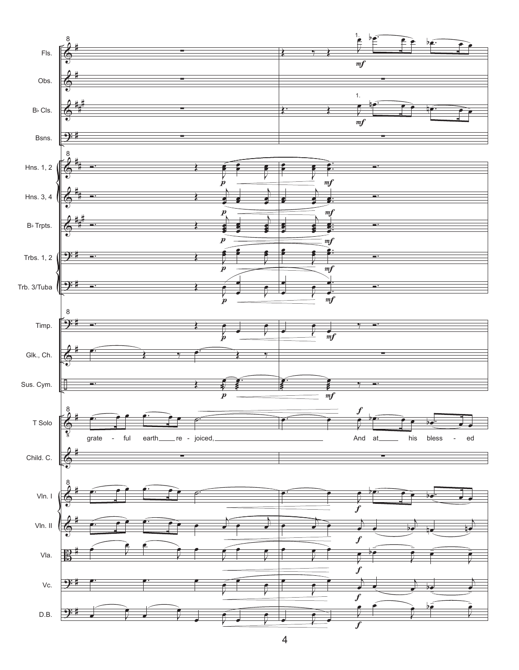

 $\overline{4}$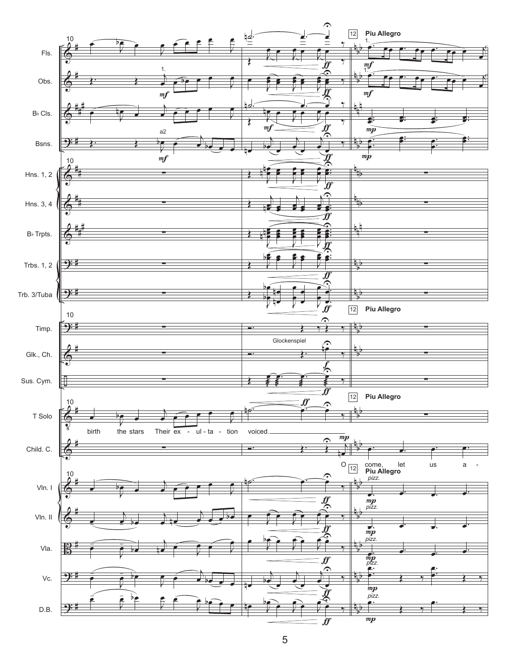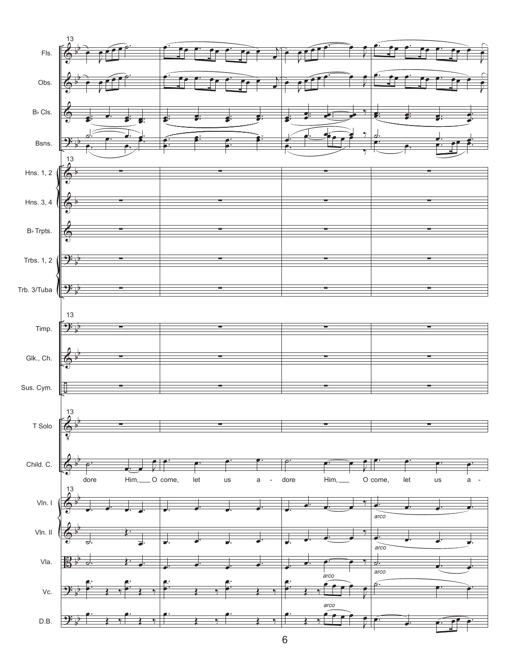

 $6\phantom{a}$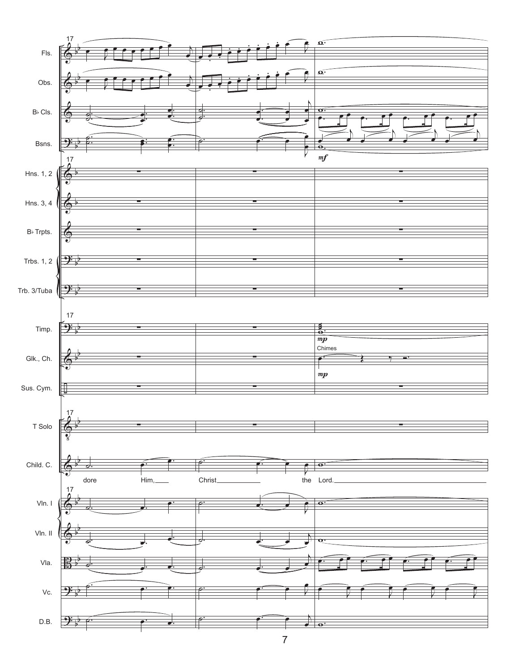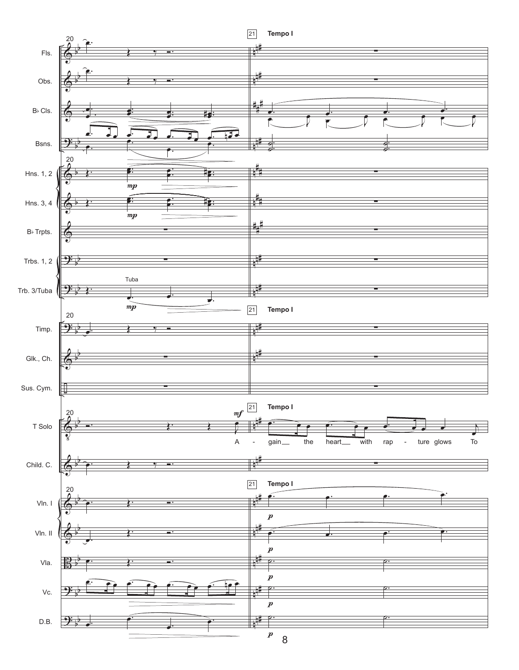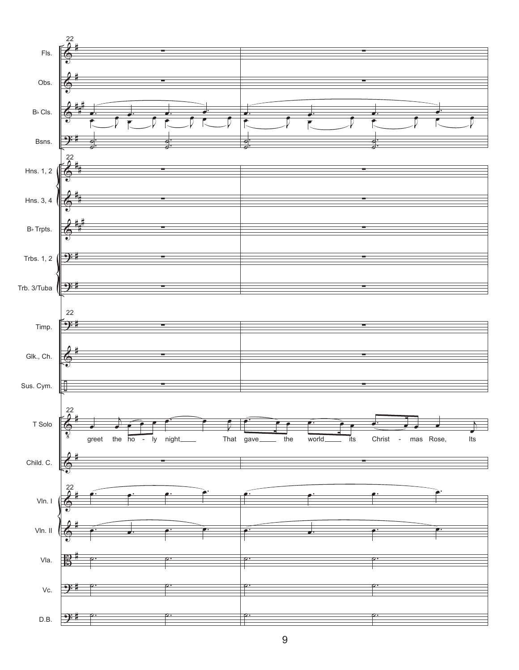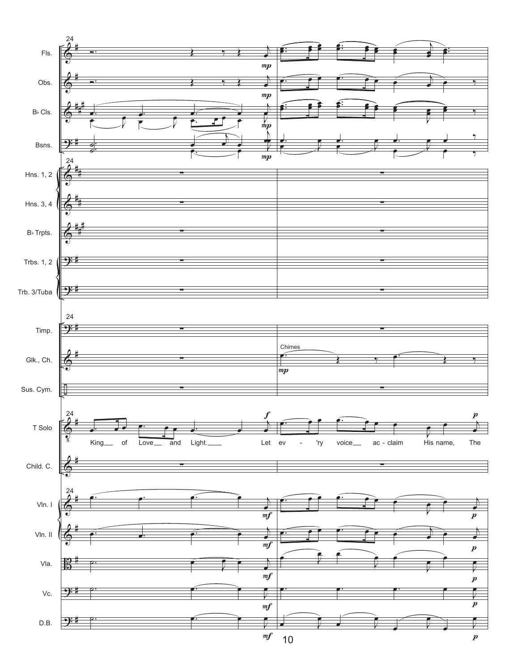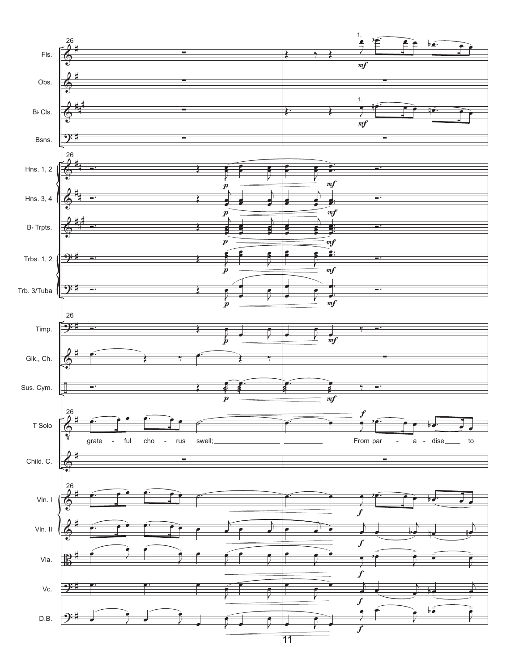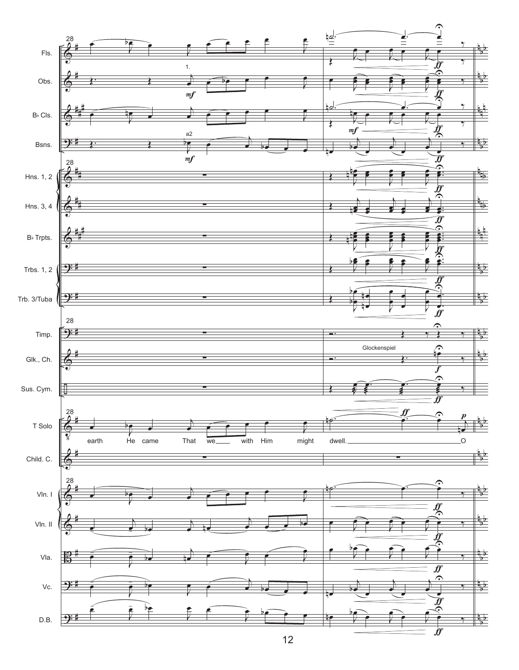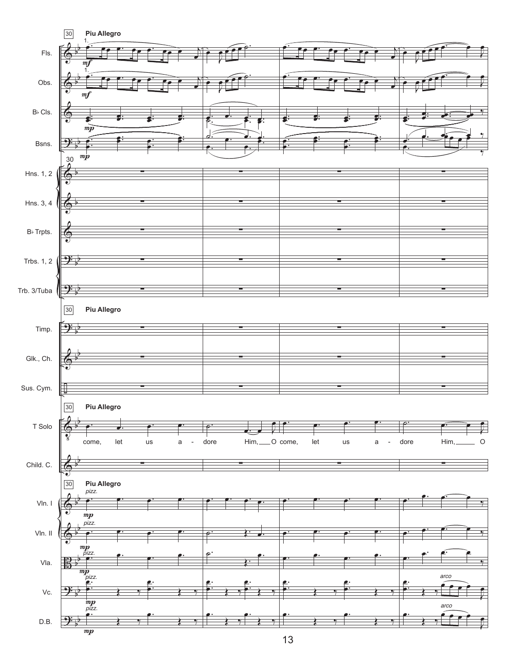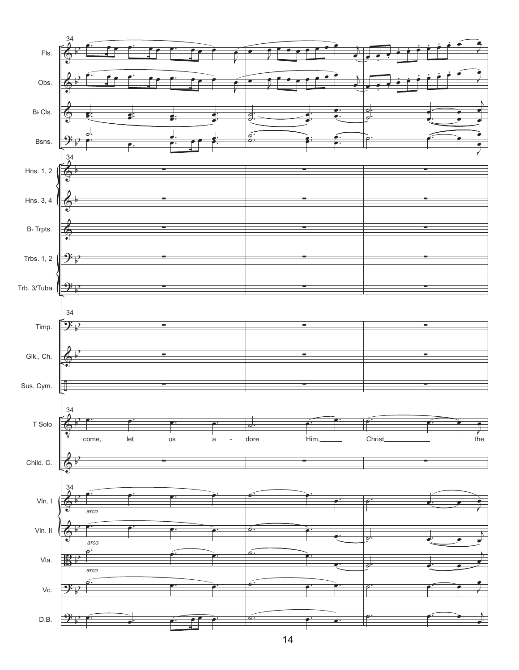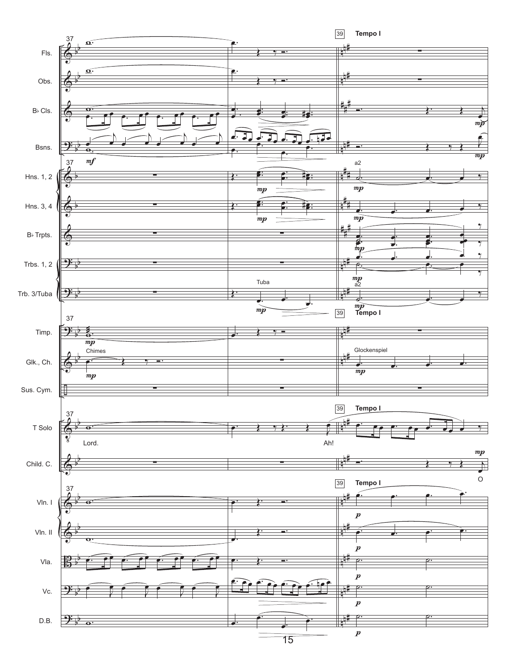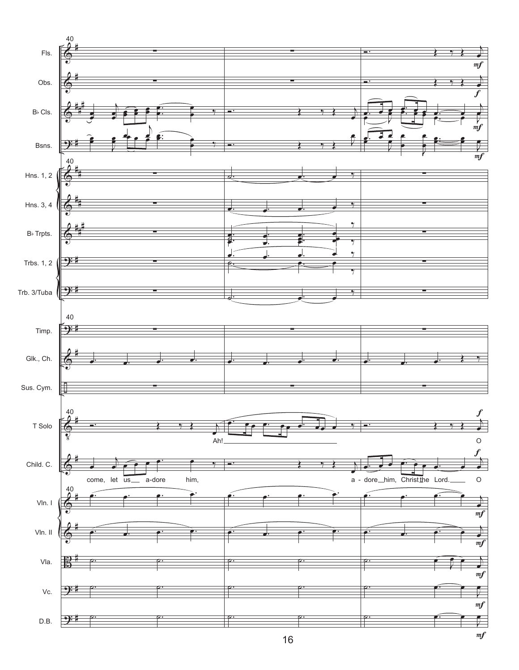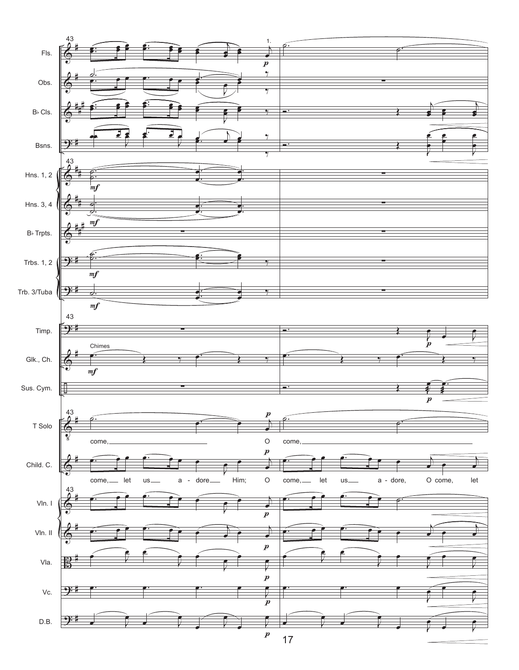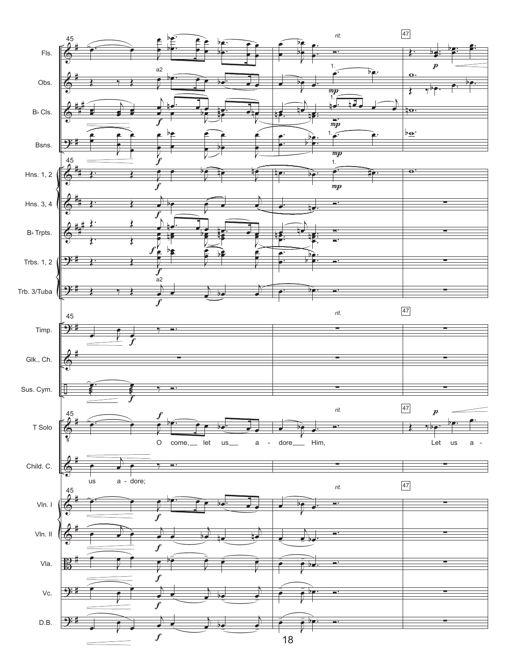